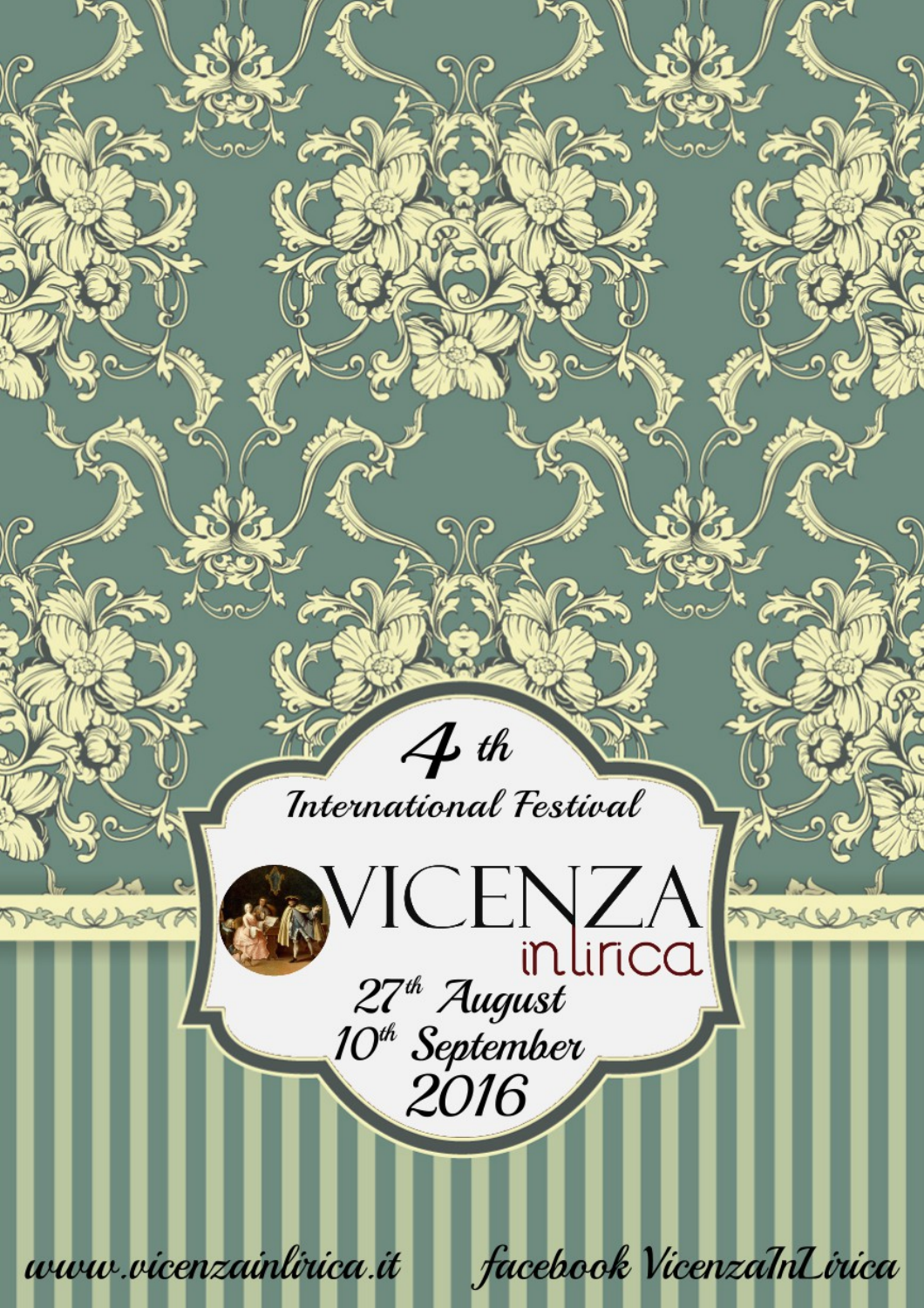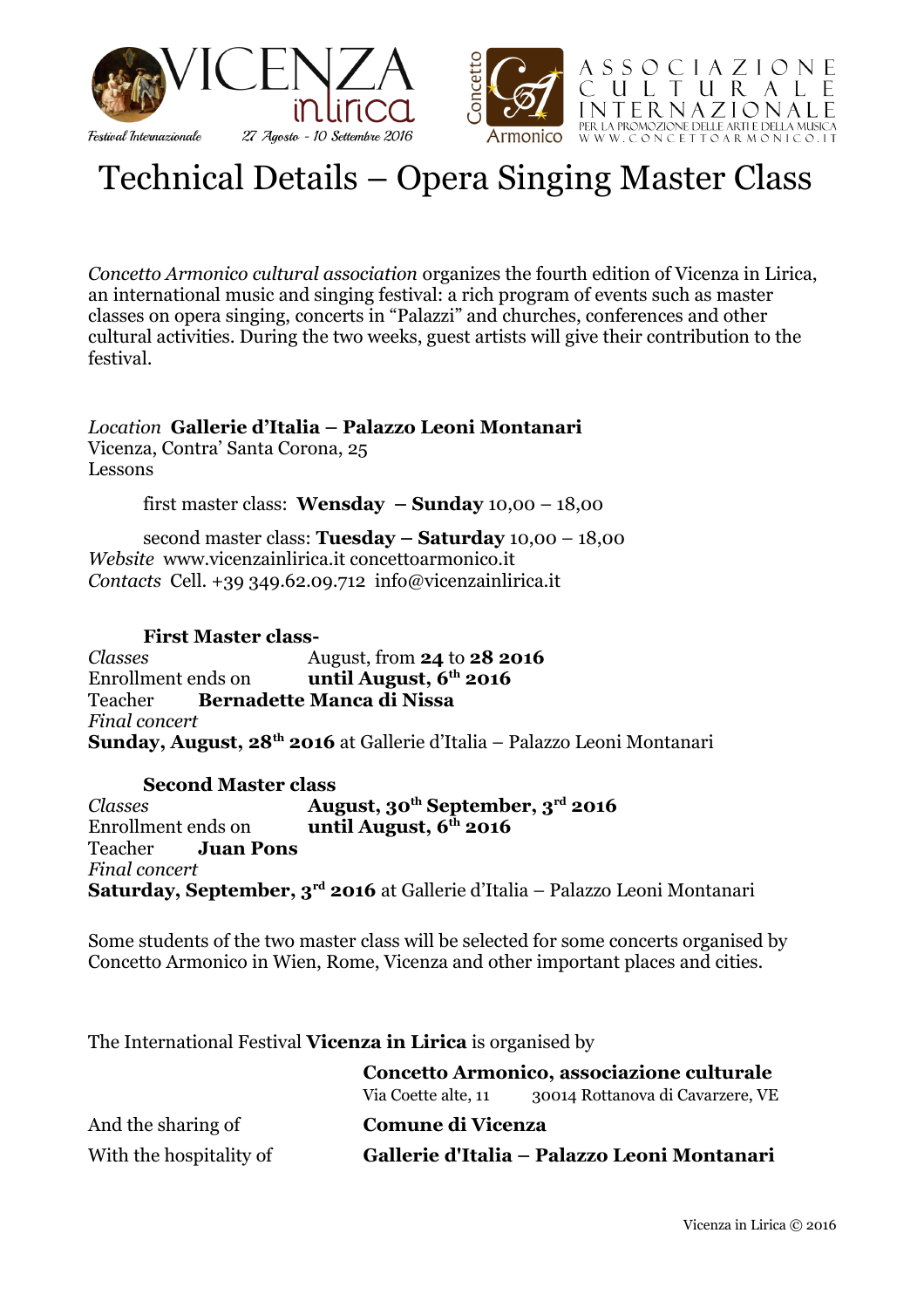



# Technical Details – Opera Singing Master Class

*Concetto Armonico cultural association* organizes the fourth edition of Vicenza in Lirica, an international music and singing festival: a rich program of events such as master classes on opera singing, concerts in "Palazzi" and churches, conferences and other cultural activities. During the two weeks, guest artists will give their contribution to the festival.

#### *Location* **Gallerie d'Italia – Palazzo Leoni Montanari** Vicenza, Contra' Santa Corona, 25

Lessons

first master class: **Wensday – Sunday** 10,00 – 18,00

second master class: **Tuesday – Saturday** 10,00 – 18,00 *Website* www.vicenzainlirica.it concettoarmonico.it *Contacts* Cell. +39 349.62.09.712 info@vicenzainlirica.it

#### **First Master class-**

*Classes* August, from **24** to **28 2016** Enrollment ends on **until August, 6th 2016** Teacher **Bernadette Manca di Nissa** *Final concert*  **Sunday, August, 28th 2016** at Gallerie d'Italia – Palazzo Leoni Montanari

#### **Second Master class**

*Classes* **August, 30th September, 3rd 2016** Enrollment ends on **until August, 6<sup>th</sup> 2016** Teacher **Juan Pons** *Final concert*  **Saturday, September, 3rd 2016** at Gallerie d'Italia – Palazzo Leoni Montanari

Some students of the two master class will be selected for some concerts organised by Concetto Armonico in Wien, Rome, Vicenza and other important places and cities.

The International Festival **Vicenza in Lirica** is organised by

|                         | Concetto Armonico, associazione culturale   |                                  |
|-------------------------|---------------------------------------------|----------------------------------|
|                         | Via Coette alte, 11                         | 30014 Rottanova di Cavarzere, VE |
| And the sharing of      | Comune di Vicenza                           |                                  |
| With the hospitality of | Gallerie d'Italia - Palazzo Leoni Montanari |                                  |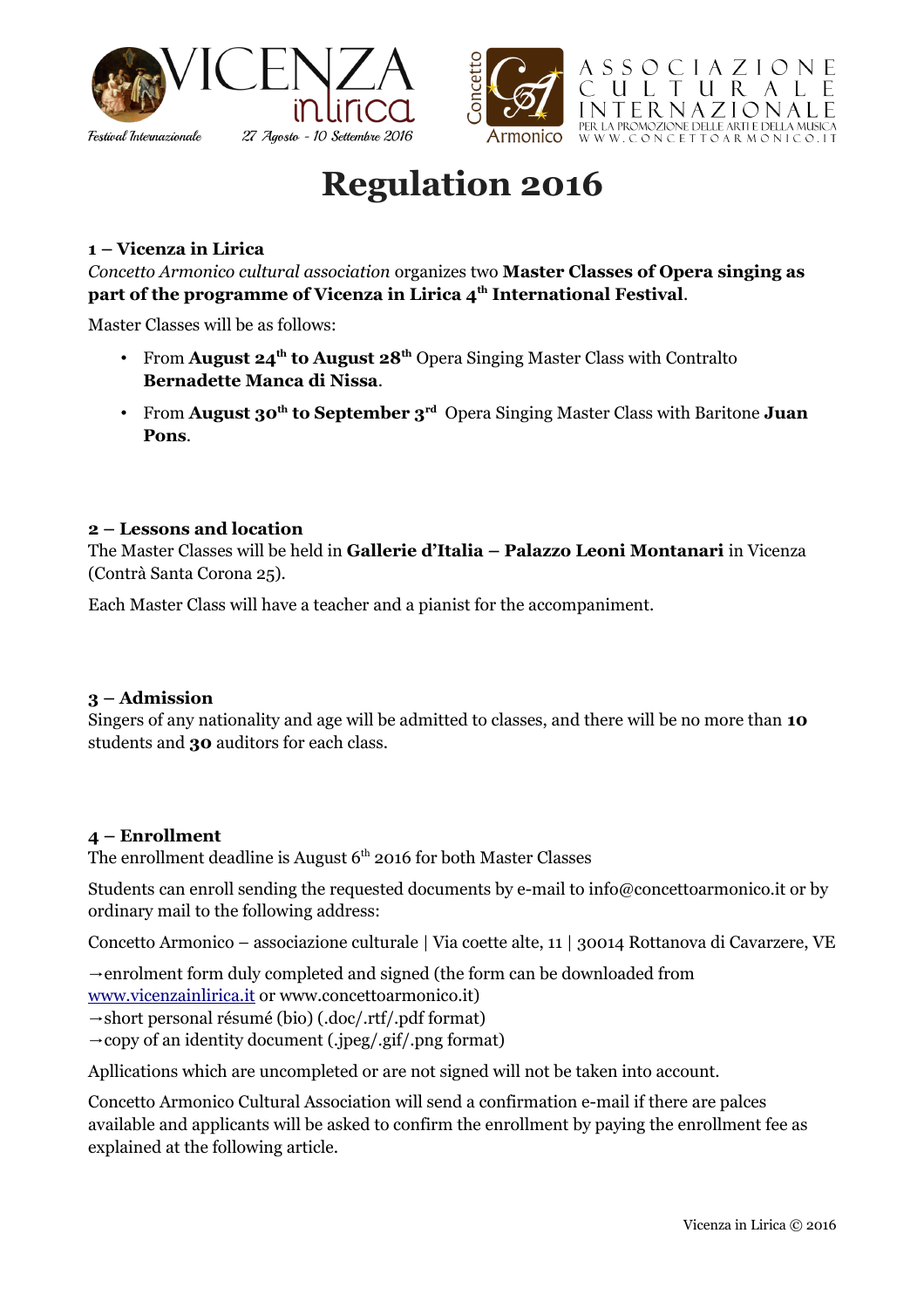



# **Regulation 2016**

#### **1 – Vicenza in Lirica**

*Concetto Armonico cultural association* organizes two **Master Classes of Opera singing as part of the programme of Vicenza in Lirica 4th International Festival**.

Master Classes will be as follows:

- From **August 24th to August 28th** Opera Singing Master Class with Contralto **Bernadette Manca di Nissa**.
- From **August 30th to September 3rd** Opera Singing Master Class with Baritone **Juan Pons**.

#### **2 – Lessons and location**

The Master Classes will be held in **Gallerie d'Italia – Palazzo Leoni Montanari** in Vicenza (Contrà Santa Corona 25).

Each Master Class will have a teacher and a pianist for the accompaniment.

#### **3 – Admission**

Singers of any nationality and age will be admitted to classes, and there will be no more than **10** students and **30** auditors for each class.

#### **4 – Enrollment**

The enrollment deadline is August  $6<sup>th</sup>$  2016 for both Master Classes

Students can enroll sending the requested documents by e-mail to info@concettoarmonico.it or by ordinary mail to the following address:

Concetto Armonico – associazione culturale | Via coette alte, 11 | 30014 Rottanova di Cavarzere, VE

→ enrolment form duly completed and signed (the form can be downloaded from

[www.vicenzainlirica.it](http://www.vicenzainlirica.it/) or www.concettoarmonico.it)

→ short personal résumé (bio) (.doc/.rtf/.pdf format)

 $\rightarrow$  copy of an identity document (.jpeg/.gif/.png format)

Apllications which are uncompleted or are not signed will not be taken into account.

Concetto Armonico Cultural Association will send a confirmation e-mail if there are palces available and applicants will be asked to confirm the enrollment by paying the enrollment fee as explained at the following article.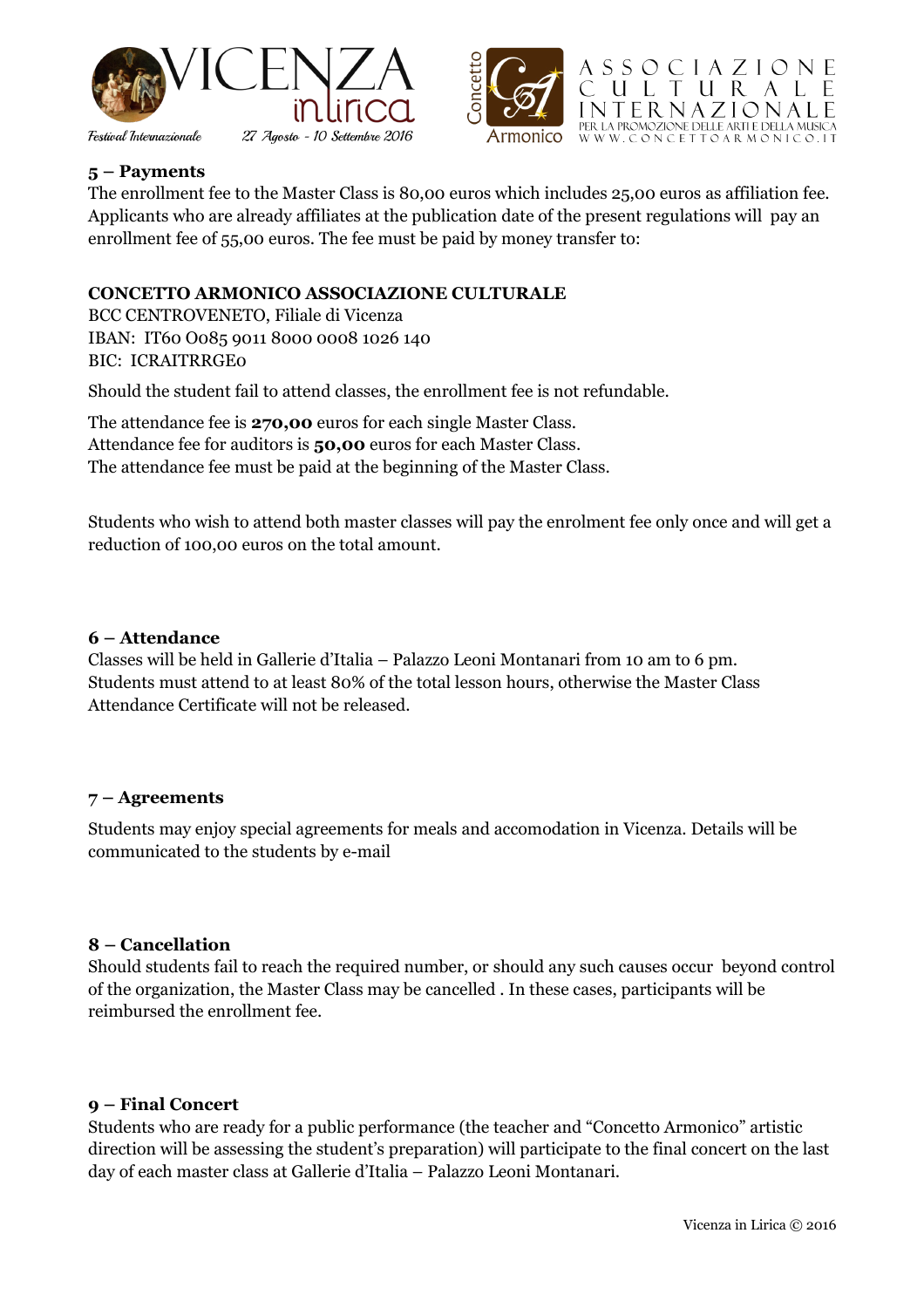



#### **5 – Payments**

The enrollment fee to the Master Class is 80,00 euros which includes 25,00 euros as affiliation fee. Applicants who are already affiliates at the publication date of the present regulations will pay an enrollment fee of 55,00 euros. The fee must be paid by money transfer to:

#### **CONCETTO ARMONICO ASSOCIAZIONE CULTURALE**

BCC CENTROVENETO, Filiale di Vicenza IBAN: IT60 O085 9011 8000 0008 1026 140 BIC: ICRAITRRGE0

Should the student fail to attend classes, the enrollment fee is not refundable.

The attendance fee is **270,00** euros for each single Master Class. Attendance fee for auditors is **50,00** euros for each Master Class. The attendance fee must be paid at the beginning of the Master Class.

Students who wish to attend both master classes will pay the enrolment fee only once and will get a reduction of 100,00 euros on the total amount.

#### **6 – Attendance**

Classes will be held in Gallerie d'Italia – Palazzo Leoni Montanari from 10 am to 6 pm. Students must attend to at least 80% of the total lesson hours, otherwise the Master Class Attendance Certificate will not be released.

#### **7 – Agreements**

Students may enjoy special agreements for meals and accomodation in Vicenza. Details will be communicated to the students by e-mail

#### **8 – Cancellation**

Should students fail to reach the required number, or should any such causes occur beyond control of the organization, the Master Class may be cancelled . In these cases, participants will be reimbursed the enrollment fee.

#### **9 – Final Concert**

Students who are ready for a public performance (the teacher and "Concetto Armonico" artistic direction will be assessing the student's preparation) will participate to the final concert on the last day of each master class at Gallerie d'Italia – Palazzo Leoni Montanari.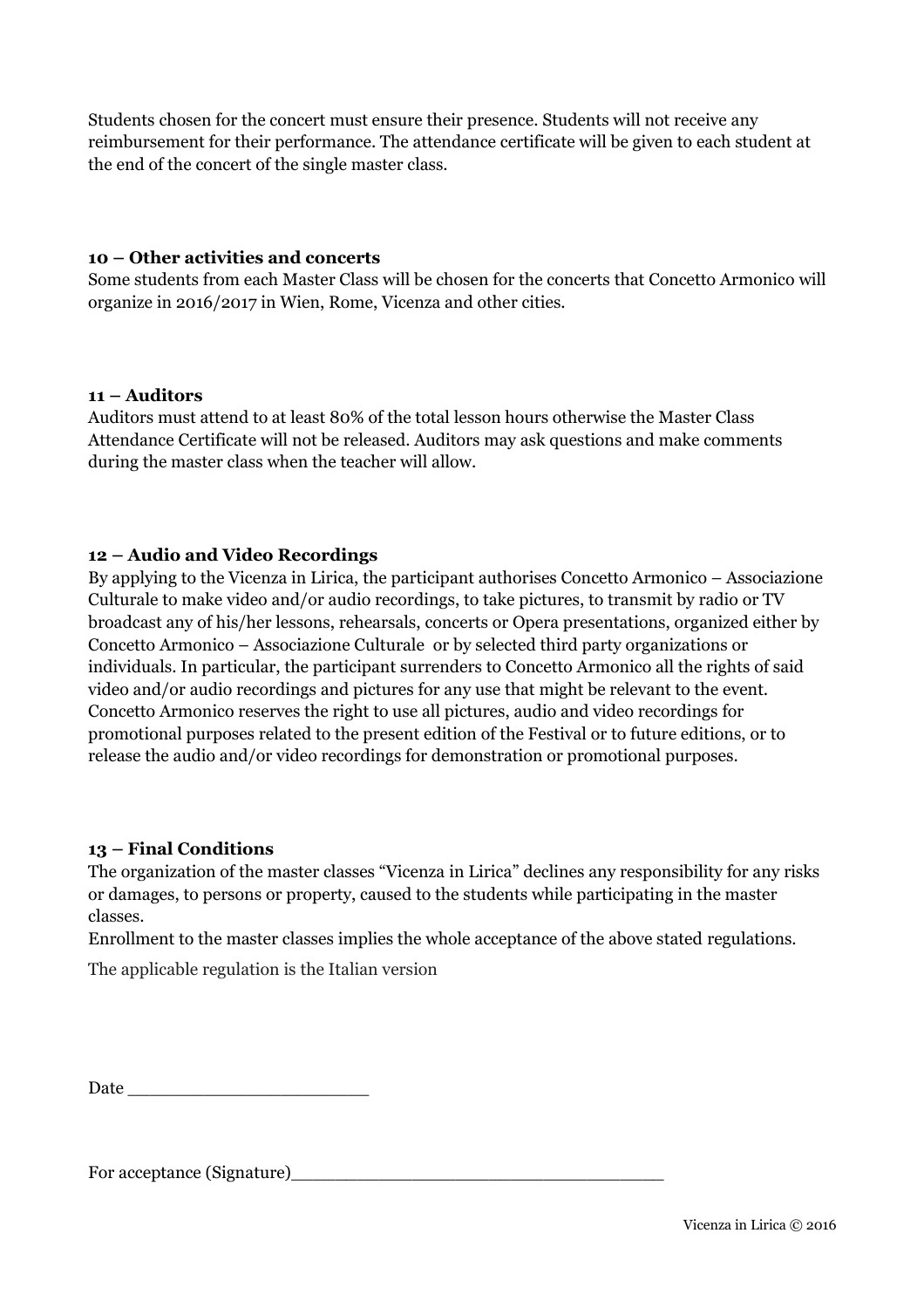Students chosen for the concert must ensure their presence. Students will not receive any reimbursement for their performance. The attendance certificate will be given to each student at the end of the concert of the single master class.

#### **10 – Other activities and concerts**

Some students from each Master Class will be chosen for the concerts that Concetto Armonico will organize in 2016/2017 in Wien, Rome, Vicenza and other cities.

#### **11 – Auditors**

Auditors must attend to at least 80% of the total lesson hours otherwise the Master Class Attendance Certificate will not be released. Auditors may ask questions and make comments during the master class when the teacher will allow.

#### **12 – Audio and Video Recordings**

By applying to the Vicenza in Lirica, the participant authorises Concetto Armonico – Associazione Culturale to make video and/or audio recordings, to take pictures, to transmit by radio or TV broadcast any of his/her lessons, rehearsals, concerts or Opera presentations, organized either by Concetto Armonico – Associazione Culturale or by selected third party organizations or individuals. In particular, the participant surrenders to Concetto Armonico all the rights of said video and/or audio recordings and pictures for any use that might be relevant to the event. Concetto Armonico reserves the right to use all pictures, audio and video recordings for promotional purposes related to the present edition of the Festival or to future editions, or to release the audio and/or video recordings for demonstration or promotional purposes.

#### **13 – Final Conditions**

The organization of the master classes "Vicenza in Lirica" declines any responsibility for any risks or damages, to persons or property, caused to the students while participating in the master classes.

Enrollment to the master classes implies the whole acceptance of the above stated regulations.

The applicable regulation is the Italian version

Date  $\Box$ 

For acceptance (Signature)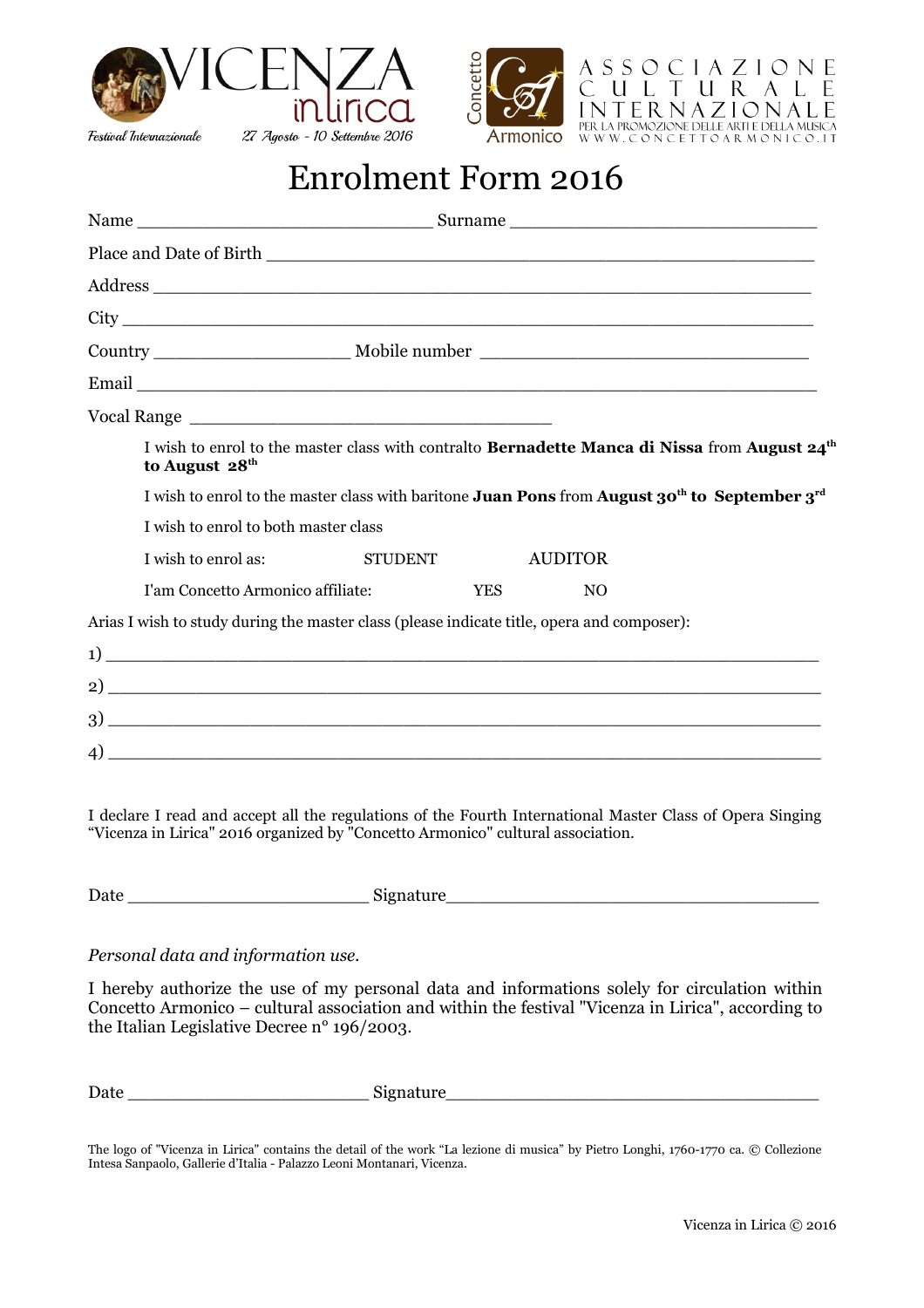



## Enrolment Form 2016

|    | I wish to enrol to the master class with contralto Bernadette Manca di Nissa from August 24 <sup>th</sup><br>to August 28 <sup>th</sup>                                                                                                                                                                                                                                            |
|----|------------------------------------------------------------------------------------------------------------------------------------------------------------------------------------------------------------------------------------------------------------------------------------------------------------------------------------------------------------------------------------|
|    | I wish to enrol to the master class with baritone Juan Pons from August 30 <sup>th</sup> to September 3 <sup>rd</sup>                                                                                                                                                                                                                                                              |
|    | I wish to enrol to both master class                                                                                                                                                                                                                                                                                                                                               |
|    | <b>STUDENT</b><br>I wish to enrol as:<br><b>AUDITOR</b>                                                                                                                                                                                                                                                                                                                            |
|    | <b>YES</b><br>I'am Concetto Armonico affiliate:<br>NO.                                                                                                                                                                                                                                                                                                                             |
|    | Arias I wish to study during the master class (please indicate title, opera and composer):                                                                                                                                                                                                                                                                                         |
|    | $\left(1\right)$ $\overline{\phantom{a}}$                                                                                                                                                                                                                                                                                                                                          |
|    |                                                                                                                                                                                                                                                                                                                                                                                    |
| 3) | <u> 2000 - 2000 - 2000 - 2000 - 2000 - 2000 - 2000 - 2000 - 2000 - 2000 - 2000 - 2000 - 2000 - 2000 - 2000 - 200</u>                                                                                                                                                                                                                                                               |
|    | $\left(4\right)$ $\frac{1}{2}$ $\left(1\right)$ $\left(1\right)$ $\left(1\right)$ $\left(1\right)$ $\left(1\right)$ $\left(1\right)$ $\left(1\right)$ $\left(1\right)$ $\left(1\right)$ $\left(1\right)$ $\left(1\right)$ $\left(1\right)$ $\left(1\right)$ $\left(1\right)$ $\left(1\right)$ $\left(1\right)$ $\left(1\right)$ $\left(1\right)$ $\left(1\right)$ $\left(1\right)$ |

I declare I read and accept all the regulations of the Fourth International Master Class of Opera Singing "Vicenza in Lirica" 2016 organized by "Concetto Armonico" cultural association.

Date \_\_\_\_\_\_\_\_\_\_\_\_\_\_\_\_\_\_\_\_\_\_ Signature\_\_\_\_\_\_\_\_\_\_\_\_\_\_\_\_\_\_\_\_\_\_\_\_\_\_\_\_\_\_\_\_\_\_

#### *Personal data and information use.*

I hereby authorize the use of my personal data and informations solely for circulation within Concetto Armonico – cultural association and within the festival "Vicenza in Lirica", according to the Italian Legislative Decree n° 196/2003.

| $\mathbf{r}$<br>- -<br>Date | $\sim$<br>. |  |
|-----------------------------|-------------|--|
|                             |             |  |

The logo of "Vicenza in Lirica" contains the detail of the work "La lezione di musica" by Pietro Longhi, 1760-1770 ca. © Collezione Intesa Sanpaolo, Gallerie d'Italia - Palazzo Leoni Montanari, Vicenza.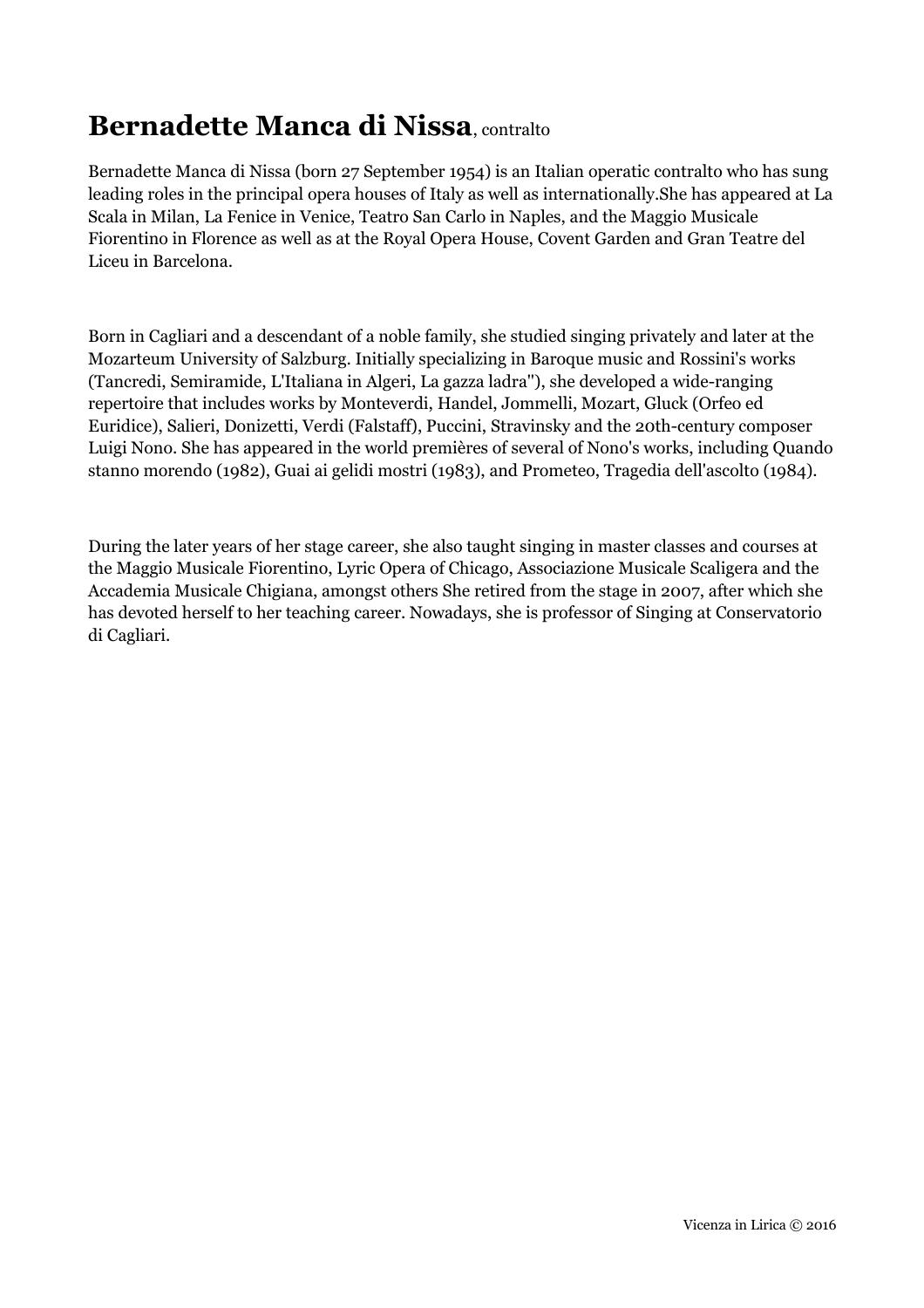## **Bernadette Manca di Nissa**, contralto

Bernadette Manca di Nissa (born 27 September 1954) is an Italian operatic contralto who has sung leading roles in the principal opera houses of Italy as well as internationally.She has appeared at La Scala in Milan, La Fenice in Venice, Teatro San Carlo in Naples, and the Maggio Musicale Fiorentino in Florence as well as at the Royal Opera House, Covent Garden and Gran Teatre del Liceu in Barcelona.

Born in Cagliari and a descendant of a noble family, she studied singing privately and later at the Mozarteum University of Salzburg. Initially specializing in Baroque music and Rossini's works (Tancredi, Semiramide, L'Italiana in Algeri, La gazza ladra''), she developed a wide-ranging repertoire that includes works by Monteverdi, Handel, Jommelli, Mozart, Gluck (Orfeo ed Euridice), Salieri, Donizetti, Verdi (Falstaff), Puccini, Stravinsky and the 20th-century composer Luigi Nono. She has appeared in the world premières of several of Nono's works, including Quando stanno morendo (1982), Guai ai gelidi mostri (1983), and Prometeo, Tragedia dell'ascolto (1984).

During the later years of her stage career, she also taught singing in master classes and courses at the Maggio Musicale Fiorentino, Lyric Opera of Chicago, Associazione Musicale Scaligera and the Accademia Musicale Chigiana, amongst others She retired from the stage in 2007, after which she has devoted herself to her teaching career. Nowadays, she is professor of Singing at Conservatorio di Cagliari.